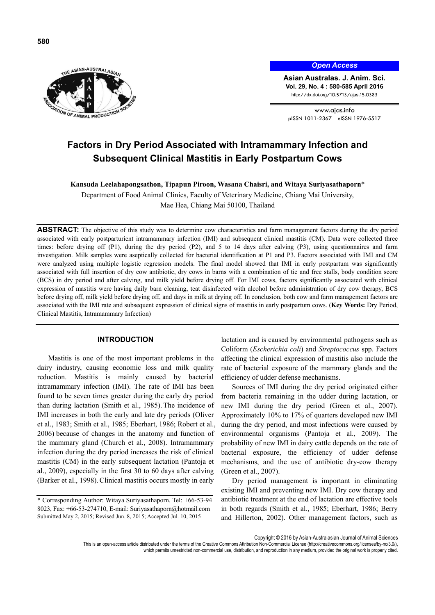

*Open Access*

**Asian Australas. J. Anim. Sci. Vol. 29, No. 4 : 580-585 April 2016**  http://dx.doi.org/10.5713/ajas.15.0383

www.ajas.info pISSN 1011-2367 eISSN 1976-5517

# **Factors in Dry Period Associated with Intramammary Infection and Subsequent Clinical Mastitis in Early Postpartum Cows**

**Kansuda Leelahapongsathon, Tipapun Piroon, Wasana Chaisri, and Witaya Suriyasathaporn**\*

Department of Food Animal Clinics, Faculty of Veterinary Medicine, Chiang Mai University, Mae Hea, Chiang Mai 50100, Thailand

**ABSTRACT:** The objective of this study was to determine cow characteristics and farm management factors during the dry period associated with early postparturient intramammary infection (IMI) and subsequent clinical mastitis (CM). Data were collected three times: before drying off (P1), during the dry period (P2), and 5 to 14 days after calving (P3), using questionnaires and farm investigation. Milk samples were aseptically collected for bacterial identification at P1 and P3. Factors associated with IMI and CM were analyzed using multiple logistic regression models. The final model showed that IMI in early postpartum was significantly associated with full insertion of dry cow antibiotic, dry cows in barns with a combination of tie and free stalls, body condition score (BCS) in dry period and after calving, and milk yield before drying off. For IMI cows, factors significantly associated with clinical expression of mastitis were having daily barn cleaning, teat disinfected with alcohol before administration of dry cow therapy, BCS before drying off, milk yield before drying off, and days in milk at drying off. In conclusion, both cow and farm management factors are associated with the IMI rate and subsequent expression of clinical signs of mastitis in early postpartum cows. (**Key Words:** Dry Period, Clinical Mastitis, Intramammary Infection)

## **INTRODUCTION**

Mastitis is one of the most important problems in the dairy industry, causing economic loss and milk quality reduction. Mastitis is mainly caused by bacterial intramammary infection (IMI). The rate of IMI has been found to be seven times greater during the early dry period than during lactation (Smith et al., 1985). The incidence of IMI increases in both the early and late dry periods (Oliver et al., 1983; Smith et al., 1985; Eberhart, 1986; Robert et al., 2006) because of changes in the anatomy and function of the mammary gland (Church et al., 2008). Intramammary infection during the dry period increases the risk of clinical mastitis (CM) in the early subsequent lactation (Pantoja et al., 2009), especially in the first 30 to 60 days after calving (Barker et al., 1998).Clinical mastitis occurs mostly in early

lactation and is caused by environmental pathogens such as Coliform (*Escherichia coli*) and *Streptococcus* spp. Factors affecting the clinical expression of mastitis also include the rate of bacterial exposure of the mammary glands and the efficiency of udder defense mechanisms.

Sources of IMI during the dry period originated either from bacteria remaining in the udder during lactation, or new IMI during the dry period (Green et al., 2007). Approximately 10% to 17% of quarters developed new IMI during the dry period, and most infections were caused by environmental organisms (Pantoja et al., 2009). The probability of new IMI in dairy cattle depends on the rate of bacterial exposure, the efficiency of udder defense mechanisms, and the use of antibiotic dry-cow therapy (Green et al., 2007).

Dry period management is important in eliminating existing IMI and preventing new IMI. Dry cow therapy and antibiotic treatment at the end of lactation are effective tools in both regards (Smith et al., 1985; Eberhart, 1986; Berry and Hillerton, 2002). Other management factors, such as

Copyright © 2016 by Asian-Australasian Journal of Animal Sciences

<sup>\*</sup> Corresponding Author: Witaya Suriyasathaporn. Tel: +66-53-94 8023, Fax: +66-53-274710, E-mail: Suriyasathaporn@hotmail.com Submitted May 2, 2015; Revised Jun. 8, 2015; Accepted Jul. 10, 2015

This is an open-access article distributed under the terms of the Creative Commons Attribution Non-Commercial License (http://creativecommons.org/licenses/by-nc/3.0/), which permits unrestricted non-commercial use, distribution, and reproduction in any medium, provided the original work is properly cited.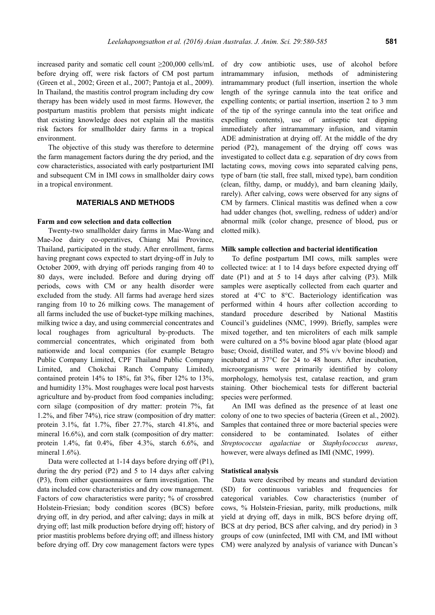increased parity and somatic cell count ≥200,000 cells/mL before drying off, were risk factors of CM post partum (Green et al., 2002; Green et al., 2007; Pantoja et al., 2009). In Thailand, the mastitis control program including dry cow therapy has been widely used in most farms. However, the postpartum mastitis problem that persists might indicate that existing knowledge does not explain all the mastitis risk factors for smallholder dairy farms in a tropical environment.

The objective of this study was therefore to determine the farm management factors during the dry period, and the cow characteristics, associated with early postparturient IMI and subsequent CM in IMI cows in smallholder dairy cows in a tropical environment.

#### **MATERIALS AND METHODS**

## **Farm and cow selection and data collection**

Twenty-two smallholder dairy farms in Mae-Wang and Mae-Joe dairy co-operatives, Chiang Mai Province, Thailand, participated in the study. After enrollment, farms having pregnant cows expected to start drying-off in July to October 2009, with drying off periods ranging from 40 to 80 days, were included. Before and during drying off periods, cows with CM or any health disorder were excluded from the study. All farms had average herd sizes ranging from 10 to 26 milking cows. The management of all farms included the use of bucket-type milking machines, milking twice a day, and using commercial concentrates and local roughages from agricultural by-products. The commercial concentrates, which originated from both nationwide and local companies (for example Betagro Public Company Limited, CPF Thailand Public Company Limited, and Chokchai Ranch Company Limited), contained protein 14% to 18%, fat 3%, fiber 12% to 13%, and humidity 13%. Most roughages were local post harvests agriculture and by-product from food companies including; corn silage (composition of dry matter: protein 7%, fat 1.2%, and fiber 74%), rice straw (composition of dry matter: protein 3.1%, fat 1.7%, fiber 27.7%, starch 41.8%, and mineral 16.6%), and corn stalk (composition of dry matter: protein 1.4%, fat 0.4%, fiber 4.3%, starch 6.6%, and mineral 1.6%).

Data were collected at 1-14 days before drying off (P1). during the dry period (P2) and 5 to 14 days after calving (P3), from either questionnaires or farm investigation. The data included cow characteristics and dry cow management. Factors of cow characteristics were parity; % of crossbred Holstein-Friesian; body condition scores (BCS) before drying off, in dry period, and after calving; days in milk at drying off; last milk production before drying off; history of prior mastitis problems before drying off; and illness history before drying off. Dry cow management factors were types of dry cow antibiotic uses, use of alcohol before intramammary infusion, methods of administering intramammary product (full insertion, insertion the whole length of the syringe cannula into the teat orifice and expelling contents; or partial insertion, insertion 2 to 3 mm of the tip of the syringe cannula into the teat orifice and expelling contents), use of antiseptic teat dipping immediately after intramammary infusion, and vitamin ADE administration at drying off. At the middle of the dry period (P2), management of the drying off cows was investigated to collect data e.g. separation of dry cows from lactating cows, moving cows into separated calving pens, type of barn (tie stall, free stall, mixed type), barn condition (clean, filthy, damp, or muddy), and barn cleaning )daily, rarely). After calving, cows were observed for any signs of CM by farmers. Clinical mastitis was defined when a cow had udder changes (hot, swelling, redness of udder) and/or abnormal milk (color change, presence of blood, pus or clotted milk).

#### **Milk sample collection and bacterial identification**

To define postpartum IMI cows, milk samples were collected twice: at 1 to 14 days before expected drying off date (P1) and at 5 to 14 days after calving (P3). Milk samples were aseptically collected from each quarter and stored at 4°C to 8°C. Bacteriology identification was performed within 4 hours after collection according to standard procedure described by National Mastitis Council's guidelines (NMC, 1999). Briefly, samples were mixed together, and ten microliters of each milk sample were cultured on a 5% bovine blood agar plate (blood agar base; Oxoid, distilled water, and 5% v/v bovine blood) and incubated at 37°C for 24 to 48 hours. After incubation, microorganisms were primarily identified by colony morphology, hemolysis test, catalase reaction, and gram staining. Other biochemical tests for different bacterial species were performed.

An IMI was defined as the presence of at least one colony of one to two species of bacteria (Green et al., 2002). Samples that contained three or more bacterial species were considered to be contaminated. Isolates of either *Streptococcus agalactiae* or *Staphylococcus aureus*, however, were always defined as IMI (NMC, 1999).

#### **Statistical analysis**

Data were described by means and standard deviation (SD) for continuous variables and frequencies for categorical variables. Cow characteristics (number of cows, % Holstein-Friesian, parity, milk productions, milk yield at drying off, days in milk, BCS before drying off, BCS at dry period, BCS after calving, and dry period) in 3 groups of cow (uninfected, IMI with CM, and IMI without CM) were analyzed by analysis of variance with Duncan's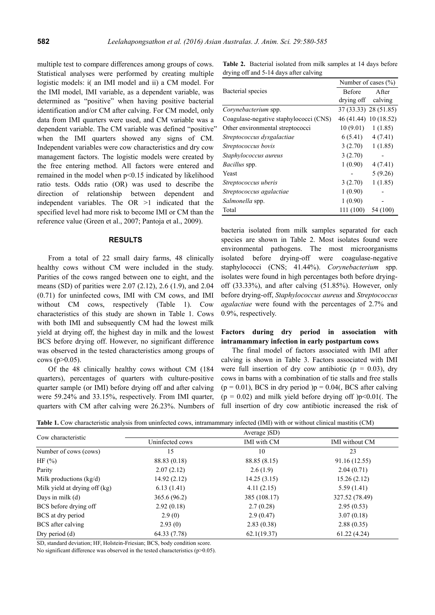multiple test to compare differences among groups of cows. Statistical analyses were performed by creating multiple logistic models: i( an IMI model and ii) a CM model. For the IMI model, IMI variable, as a dependent variable, was determined as "positive" when having positive bacterial identification and/or CM after calving. For CM model, only data from IMI quarters were used, and CM variable was a dependent variable. The CM variable was defined "positive" when the IMI quarters showed any signs of CM. Independent variables were cow characteristics and dry cow management factors. The logistic models were created by the free entering method. All factors were entered and remained in the model when p<0.15 indicated by likelihood ratio tests. Odds ratio (OR) was used to describe the direction of relationship between dependent and independent variables. The OR >1 indicated that the specified level had more risk to become IMI or CM than the reference value (Green et al., 2007; Pantoja et al., 2009).

### **RESULTS**

From a total of 22 small dairy farms, 48 clinically healthy cows without CM were included in the study. Parities of the cows ranged between one to eight, and the means (SD) of parities were 2.07 (2.12), 2.6 (1.9), and 2.04 (0.71) for uninfected cows, IMI with CM cows, and IMI without CM cows, respectively (Table 1). Cow characteristics of this study are shown in Table 1. Cows with both IMI and subsequently CM had the lowest milk yield at drying off, the highest day in milk and the lowest BCS before drying off. However, no significant difference was observed in the tested characteristics among groups of cows ( $p > 0.05$ ).

Of the 48 clinically healthy cows without CM (184 quarters), percentages of quarters with culture-positive quarter sample (or IMI) before drying off and after calving were 59.24% and 33.15%, respectively. From IMI quarter, quarters with CM after calving were 26.23%. Numbers of

**Table 2.** Bacterial isolated from milk samples at 14 days before drying off and 5-14 days after calving

|                                        | Number of cases $(\% )$ |                       |  |
|----------------------------------------|-------------------------|-----------------------|--|
| Bacterial species                      | <b>Before</b>           | After                 |  |
|                                        | drying off              | calving               |  |
| Corynebacterium spp.                   |                         | 37 (33.33) 28 (51.85) |  |
| Coagulase-negative staphylococci (CNS) |                         | 46 (41.44) 10 (18.52) |  |
| Other environmental streptococci       | 10(9.01)                | 1(1.85)               |  |
| Streptococcus dysgalactiae             | 6(5.41)                 | 4(7.41)               |  |
| Streptococcus bovis                    | 3(2.70)                 | 1(1.85)               |  |
| Staphylococcus aureus                  | 3(2.70)                 |                       |  |
| <i>Bacillus</i> spp.                   | 1(0.90)                 | 4(7.41)               |  |
| Yeast                                  |                         | 5(9.26)               |  |
| Streptococcus uberis                   | 3(2.70)                 | 1(1.85)               |  |
| Streptococcus agalactiae               | 1(0.90)                 |                       |  |
| Salmonella spp.                        | 1(0.90)                 |                       |  |
| Total                                  | 111 (100)               | 54 (100)              |  |

bacteria isolated from milk samples separated for each species are shown in Table 2. Most isolates found were environmental pathogens. The most microorganisms isolated before drying-off were coagulase-negative staphylococci (CNS; 41.44%). *Corynebacterium* spp. isolates were found in high percentages both before dryingoff (33.33%), and after calving (51.85%). However, only before drying-off, *Staphylococcus aureus* and *Streptococcus agalactiae* were found with the percentages of 2.7% and 0.9%, respectively.

## **Factors during dry period in association with intramammary infection in early postpartum cows**

The final model of factors associated with IMI after calving is shown in Table 3. Factors associated with IMI were full insertion of dry cow antibiotic ( $p = 0.03$ ), dry cows in barns with a combination of tie stalls and free stalls  $(p = 0.01)$ , BCS in dry period  $)p = 0.04$ , BCS after calving  $(p = 0.02)$  and milk yield before drying off  $)p < 0.01$ . The full insertion of dry cow antibiotic increased the risk of

**Table 1.** Cow characteristic analysis from uninfected cows, intramammary infected (IMI) with or without clinical mastitis (CM)

|                               |                 | Average (SD)       |                       |
|-------------------------------|-----------------|--------------------|-----------------------|
| Cow characteristic            | Uninfected cows | <b>IMI</b> with CM | <b>IMI</b> without CM |
| Number of cows (cows)         | 15              | 10                 | 23                    |
| HF $(\%)$                     | 88.83 (0.18)    | 88.85 (8.15)       | 91.16 (12.55)         |
| Parity                        | 2.07(2.12)      | 2.6(1.9)           | 2.04(0.71)            |
| Milk productions $(kg/d)$     | 14.92 (2.12)    | 14.25(3.15)        | 15.26(2.12)           |
| Milk yield at drying off (kg) | 6.13(1.41)      | 4.11(2.15)         | 5.59(1.41)            |
| Days in milk $(d)$            | 365.6(96.2)     | 385 (108.17)       | 327.52 (78.49)        |
| BCS before drying off         | 2.92(0.18)      | 2.7(0.28)          | 2.95(0.53)            |
| BCS at dry period             | 2.9(0)          | 2.9(0.47)          | 3.07(0.18)            |
| BCS after calving             | 2.93(0)         | 2.83(0.38)         | 2.88(0.35)            |
| Dry period $(d)$              | 64.33 (7.78)    | 62.1(19.37)        | 61.22(4.24)           |

SD, standard deviation; HF, Holstein-Friesian; BCS, body condition score.

No significant difference was observed in the tested characteristics (p>0.05).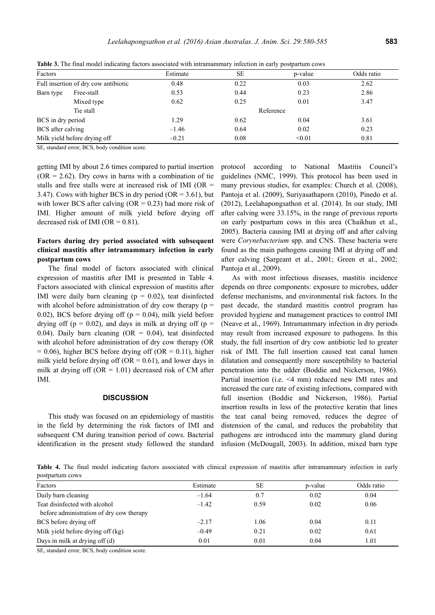| Factors           |                                      | Estimate  | <b>SE</b> | p-value | Odds ratio |  |
|-------------------|--------------------------------------|-----------|-----------|---------|------------|--|
|                   | Full insertion of dry cow antibiotic | 0.48      | 0.22      | 0.03    | 2.62       |  |
| Barn type         | Free-stall                           | 0.53      | 0.44      | 0.23    | 2.86       |  |
|                   | Mixed type                           | 0.62      | 0.25      | 0.01    | 3.47       |  |
|                   | Tie stall                            | Reference |           |         |            |  |
| BCS in dry period |                                      | 1.29      | 0.62      | 0.04    | 3.61       |  |
| BCS after calving |                                      | $-1.46$   | 0.64      | 0.02    | 0.23       |  |
|                   | Milk yield before drying off         | $-0.21$   | 0.08      | < 0.01  | 0.81       |  |

**Table 3.** The final model indicating factors associated with intramammary infection in early postpartum cows

SE, standard error; BCS, body condition score.

getting IMI by about 2.6 times compared to partial insertion  $(OR = 2.62)$ . Dry cows in barns with a combination of tie stalls and free stalls were at increased risk of IMI (OR = 3.47). Cows with higher BCS in dry period (OR =  $3.61$ ), but with lower BCS after calving  $(OR = 0.23)$  had more risk of IMI. Higher amount of milk yield before drying off decreased risk of IMI ( $OR = 0.81$ ).

## **Factors during dry period associated with subsequent clinical mastitis after intramammary infection in early postpartum cows**

The final model of factors associated with clinical expression of mastitis after IMI is presented in Table 4. Factors associated with clinical expression of mastitis after IMI were daily barn cleaning ( $p = 0.02$ ), teat disinfected with alcohol before administration of dry cow therapy ( $p =$ 0.02), BCS before drying off ( $p = 0.04$ ), milk yield before drying off ( $p = 0.02$ ), and days in milk at drying off ( $p =$ 0.04). Daily barn cleaning  $(OR = 0.04)$ , teat disinfected with alcohol before administration of dry cow therapy (OR  $= 0.06$ ), higher BCS before drying off (OR  $= 0.11$ ), higher milk yield before drying off ( $OR = 0.61$ ), and lower days in milk at drying off ( $OR = 1.01$ ) decreased risk of CM after IMI.

### **DISCUSSION**

This study was focused on an epidemiology of mastitis in the field by determining the risk factors of IMI and subsequent CM during transition period of cows. Bacterial identification in the present study followed the standard

protocol according to National Mastitis Council's guidelines (NMC, 1999). This protocol has been used in many previous studies, for examples: Church et al. (2008), Pantoja et al. (2009), Suriyasathaporn (2010), Pinedo et al. (2012), Leelahapongsathon et al. (2014). In our study, IMI after calving were 33.15%, in the range of previous reports on early postpartum cows in this area (Chaikhun et al., 2005). Bacteria causing IMI at drying off and after calving were *Corynebacterium* spp. and CNS. These bacteria were found as the main pathogens causing IMI at drying off and after calving (Sargeant et al., 2001; Green et al., 2002; Pantoja et al., 2009).

As with most infectious diseases, mastitis incidence depends on three components: exposure to microbes, udder defense mechanisms, and environmental risk factors. In the past decade, the standard mastitis control program has provided hygiene and management practices to control IMI (Neave et al., 1969). Intramammary infection in dry periods may result from increased exposure to pathogens. In this study, the full insertion of dry cow antibiotic led to greater risk of IMI. The full insertion caused teat canal lumen dilatation and consequently more susceptibility to bacterial penetration into the udder (Boddie and Nickerson, 1986). Partial insertion (i.e. <4 mm) reduced new IMI rates and increased the cure rate of existing infections, compared with full insertion (Boddie and Nickerson, 1986). Partial insertion results in less of the protective keratin that lines the teat canal being removed, reduces the degree of distension of the canal, and reduces the probability that pathogens are introduced into the mammary gland during infusion (McDougall, 2003). In addition, mixed barn type

**Table 4.** The final model indicating factors associated with clinical expression of mastitis after intramammary infection in early postpartum cows

| Factors                                  | Estimate | <b>SE</b> | p-value | Odds ratio |
|------------------------------------------|----------|-----------|---------|------------|
| Daily barn cleaning                      | $-1.64$  | 0.7       | 0.02    | 0.04       |
| Teat disinfected with alcohol            | $-1.42$  | 0.59      | 0.02    | 0.06       |
| before administration of dry cow therapy |          |           |         |            |
| BCS before drying off                    | $-2.17$  | 1.06      | 0.04    | 0.11       |
| Milk yield before drying off (kg)        | $-0.49$  | 0.21      | 0.02    | 0.61       |
| Days in milk at drying off $(d)$         | 0.01     | 0.01      | 0.04    | 1.01       |

SE, standard error; BCS, body condition score.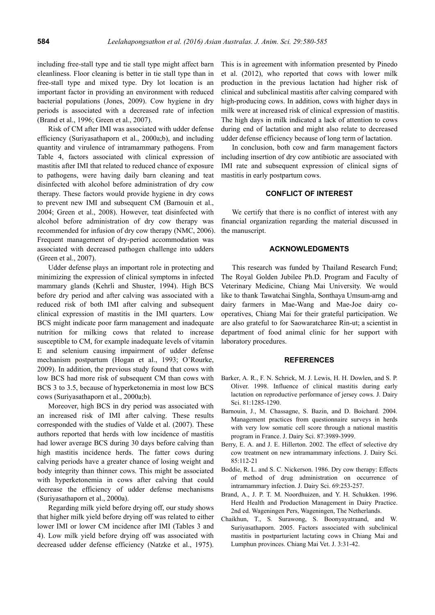including free-stall type and tie stall type might affect barn cleanliness. Floor cleaning is better in tie stall type than in free-stall type and mixed type. Dry lot location is an important factor in providing an environment with reduced bacterial populations (Jones, 2009). Cow hygiene in dry periods is associated with a decreased rate of infection (Brand et al., 1996; Green et al., 2007).

Risk of CM after IMI was associated with udder defense efficiency (Suriyasathaporn et al., 2000a;b), and including quantity and virulence of intramammary pathogens. From Table 4, factors associated with clinical expression of mastitis after IMI that related to reduced chance of exposure to pathogens, were having daily barn cleaning and teat disinfected with alcohol before administration of dry cow therapy. These factors would provide hygiene in dry cows to prevent new IMI and subsequent CM (Barnouin et al., 2004; Green et al., 2008). However, teat disinfected with alcohol before administration of dry cow therapy was recommended for infusion of dry cow therapy (NMC, 2006). Frequent management of dry-period accommodation was associated with decreased pathogen challenge into udders (Green et al., 2007).

Udder defense plays an important role in protecting and minimizing the expression of clinical symptoms in infected mammary glands (Kehrli and Shuster, 1994). High BCS before dry period and after calving was associated with a reduced risk of both IMI after calving and subsequent clinical expression of mastitis in the IMI quarters. Low BCS might indicate poor farm management and inadequate nutrition for milking cows that related to increase susceptible to CM, for example inadequate levels of vitamin E and selenium causing impairment of udder defense mechanism postpartum (Hogan et al., 1993; O'Rourke, 2009). In addition, the previous study found that cows with low BCS had more risk of subsequent CM than cows with BCS 3 to 3.5, because of hyperketonemia in most low BCS cows (Suriyasathaporn et al., 2000a;b).

Moreover, high BCS in dry period was associated with an increased risk of IMI after calving. These results corresponded with the studies of Valde et al. (2007). These authors reported that herds with low incidence of mastitis had lower average BCS during 30 days before calving than high mastitis incidence herds. The fatter cows during calving periods have a greater chance of losing weight and body integrity than thinner cows. This might be associated with hyperketonemia in cows after calving that could decrease the efficiency of udder defense mechanisms (Suriyasathaporn et al., 2000a).

Regarding milk yield before drying off, our study shows that higher milk yield before drying off was related to either lower IMI or lower CM incidence after IMI (Tables 3 and 4). Low milk yield before drying off was associated with decreased udder defense efficiency (Natzke et al., 1975).

This is in agreement with information presented by Pinedo et al. (2012), who reported that cows with lower milk production in the previous lactation had higher risk of clinical and subclinical mastitis after calving compared with high-producing cows. In addition, cows with higher days in milk were at increased risk of clinical expression of mastitis. The high days in milk indicated a lack of attention to cows during end of lactation and might also relate to decreased udder defense efficiency because of long term of lactation.

In conclusion, both cow and farm management factors including insertion of dry cow antibiotic are associated with IMI rate and subsequent expression of clinical signs of mastitis in early postpartum cows.

## **CONFLICT OF INTEREST**

We certify that there is no conflict of interest with any financial organization regarding the material discussed in the manuscript.

## **ACKNOWLEDGMENTS**

This research was funded by Thailand Research Fund; The Royal Golden Jubilee Ph.D. Program and Faculty of Veterinary Medicine, Chiang Mai University. We would like to thank Tawatchai Singhla, Sonthaya Umsum-arng and dairy farmers in Mae-Wang and Mae-Joe dairy cooperatives, Chiang Mai for their grateful participation. We are also grateful to for Saowaratcharee Rin-ut; a scientist in department of food animal clinic for her support with laboratory procedures.

#### **REFERENCES**

- Barker, A. R., F. N. Schrick, M. J. Lewis, H. H. Dowlen, and S. P. Oliver. 1998. Influence of clinical mastitis during early lactation on reproductive performance of jersey cows. J. Dairy Sci. 81:1285-1290.
- Barnouin, J., M. Chassagne, S. Bazin, and D. Boichard. 2004. Management practices from questionnaire surveys in herds with very low somatic cell score through a national mastitis program in France. J. Dairy Sci. 87:3989-3999.
- Berry, E. A. and J. E. Hillerton. 2002. The effect of selective dry cow treatment on new intramammary infections. J. Dairy Sci. 85:112-21
- Boddie, R. L. and S. C. Nickerson. 1986. Dry cow therapy: Effects of method of drug administration on occurrence of intramammary infection. J. Dairy Sci. 69:253-257.
- Brand, A., J. P. T. M. Noordhuizen, and Y. H. Schukken. 1996. Herd Health and Production Management in Dairy Practice. 2nd ed. Wageningen Pers, Wageningen, The Netherlands.
- Chaikhun, T., S. Surawong, S. Boonyayatraand, and W. Suriyasathaporn. 2005. Factors associated with subclinical mastitis in postparturient lactating cows in Chiang Mai and Lumphun provinces. Chiang Mai Vet. J. 3:31-42.